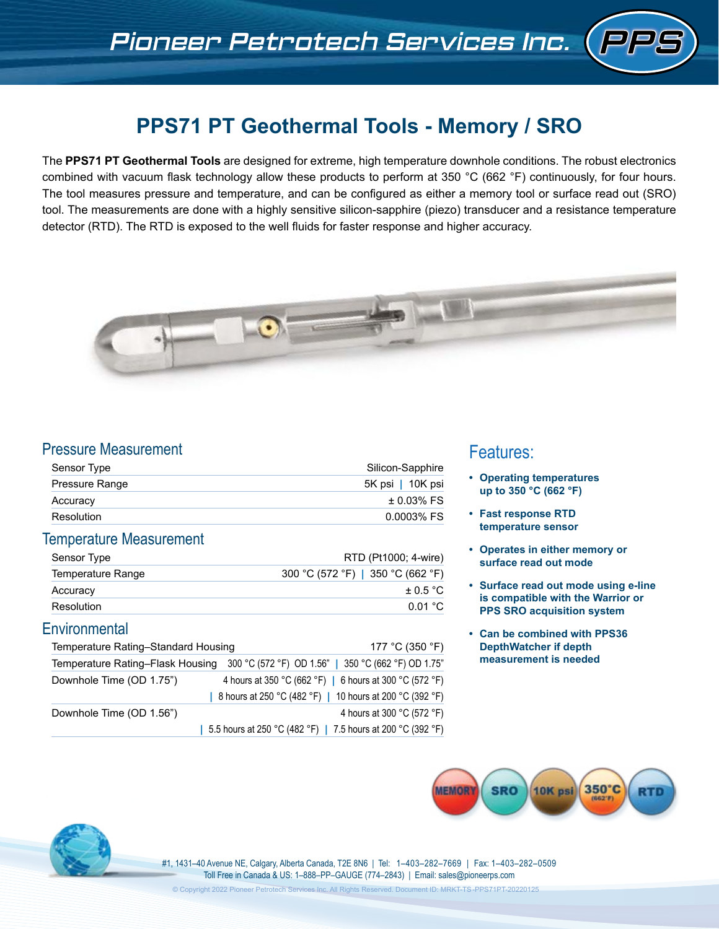# **PPS71 PT Geothermal Tools - Memory / SRO**

The **PPS71 PT Geothermal Tools** are designed for extreme, high temperature downhole conditions. The robust electronics combined with vacuum flask technology allow these products to perform at 350 °C (662 °F) continuously, for four hours. The tool measures pressure and temperature, and can be configured as either a memory tool or surface read out (SRO) tool. The measurements are done with a highly sensitive silicon-sapphire (piezo) transducer and a resistance temperature detector (RTD). The RTD is exposed to the well fluids for faster response and higher accuracy.



# Pressure Measurement

| Sensor Type           | Silicon-Sapphire |  |
|-----------------------|------------------|--|
| <b>Pressure Range</b> | 5K psi   10K psi |  |
| Accuracy              | $± 0.03\%$ FS    |  |
| Resolution            | 0.0003% FS       |  |

### Temperature Measurement

| Sensor Type       | RTD (Pt1000; 4-wire)              |
|-------------------|-----------------------------------|
| Temperature Range | 300 °C (572 °F)   350 °C (662 °F) |
| Accuracy          | $+0.5 °C$                         |
| Resolution        | 0.01 °C                           |

## **Environmental**

| Temperature Rating-Standard Housing | 177 °C (350 °F)                                                                      |
|-------------------------------------|--------------------------------------------------------------------------------------|
|                                     | Temperature Rating-Flask Housing 300 °C (572 °F) OD 1.56"   350 °C (662 °F) OD 1.75" |
| Downhole Time (OD 1.75")            | 4 hours at 350 °C (662 °F)   6 hours at 300 °C (572 °F)                              |
|                                     | 8 hours at 250 °C (482 °F)   10 hours at 200 °C (392 °F)                             |
| Downhole Time (OD 1.56")            | 4 hours at 300 °C (572 °F)                                                           |
|                                     | 5.5 hours at 250 °C (482 °F)   7.5 hours at 200 °C (392 °F)                          |

## Features:

- **• Operating temperatures up to 350 °C (662 °F)**
- **• Fast response RTD temperature sensor**
- **• Operates in either memory or surface read out mode**
- **• Surface read out mode using e-line is compatible with the Warrior or PPS SRO acquisition system**
- **• Can be combined with PPS36 DepthWatcher if depth measurement is needed**





#1, 1431–40 Avenue NE, Calgary, Alberta Canada, T2E 8N6 | Tel: 1–403–282–7669 | Fax: 1–403–282–0509 Toll Free in Canada & US: 1–888–PP–GAUGE (774–2843) | Email: sales@pioneerps.com